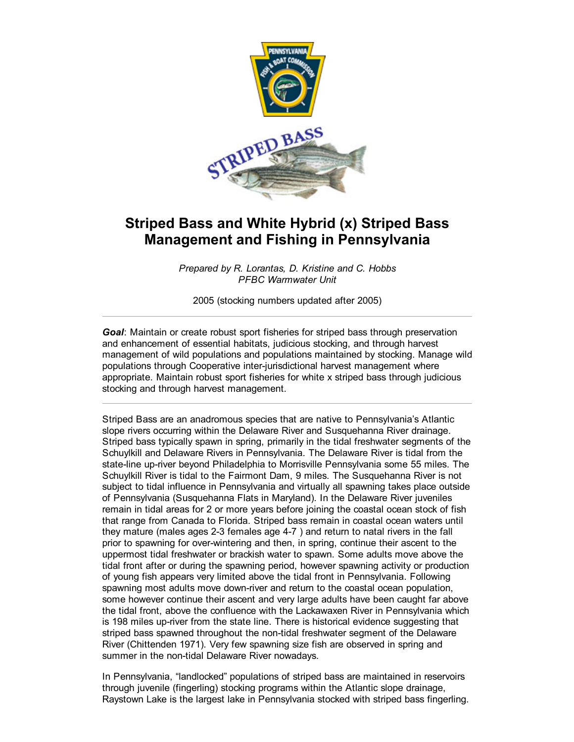

## Striped Bass and White Hybrid (x) Striped Bass Management and Fishing in Pennsylvania

*Prepared by R. Lorantas, D. Kristine and C. Hobbs PFBC Warmwater Unit*

2005 (stocking numbers updated after 2005)

*Goal*: Maintain or create robust sport fisheries for striped bass through preservation and enhancement of essential habitats, judicious stocking, and through harvest management of wild populations and populations maintained by stocking. Manage wild populations through Cooperative inter-jurisdictional harvest management where appropriate. Maintain robust sport fisheries for white x striped bass through judicious stocking and through harvest management.

Striped Bass are an anadromous species that are native to Pennsylvania's Atlantic slope rivers occurring within the Delaware River and Susquehanna River drainage. Striped bass typically spawn in spring, primarily in the tidal freshwater segments of the Schuylkill and Delaware Rivers in Pennsylvania. The Delaware River is tidal from the state-line up-river beyond Philadelphia to Morrisville Pennsylvania some 55 miles. The Schuylkill River is tidal to the Fairmont Dam, 9 miles. The Susquehanna River is not subject to tidal influence in Pennsylvania and virtually all spawning takes place outside of Pennsylvania (Susquehanna Flats in Maryland). In the Delaware River juveniles remain in tidal areas for 2 or more years before joining the coastal ocean stock of fish that range from Canada to Florida. Striped bass remain in coastal ocean waters until they mature (males ages 23 females age 47 ) and return to natal rivers in the fall prior to spawning for overwintering and then, in spring, continue their ascent to the uppermost tidal freshwater or brackish water to spawn. Some adults move above the tidal front after or during the spawning period, however spawning activity or production of young fish appears very limited above the tidal front in Pennsylvania. Following spawning most adults move down-river and return to the coastal ocean population, some however continue their ascent and very large adults have been caught far above the tidal front, above the confluence with the Lackawaxen River in Pennsylvania which is 198 miles up-river from the state line. There is historical evidence suggesting that striped bass spawned throughout the non-tidal freshwater segment of the Delaware River (Chittenden 1971). Very few spawning size fish are observed in spring and summer in the non-tidal Delaware River nowadays.

In Pennsylvania, "landlocked" populations of striped bass are maintained in reservoirs through juvenile (fingerling) stocking programs within the Atlantic slope drainage, Raystown Lake is the largest lake in Pennsylvania stocked with striped bass fingerling.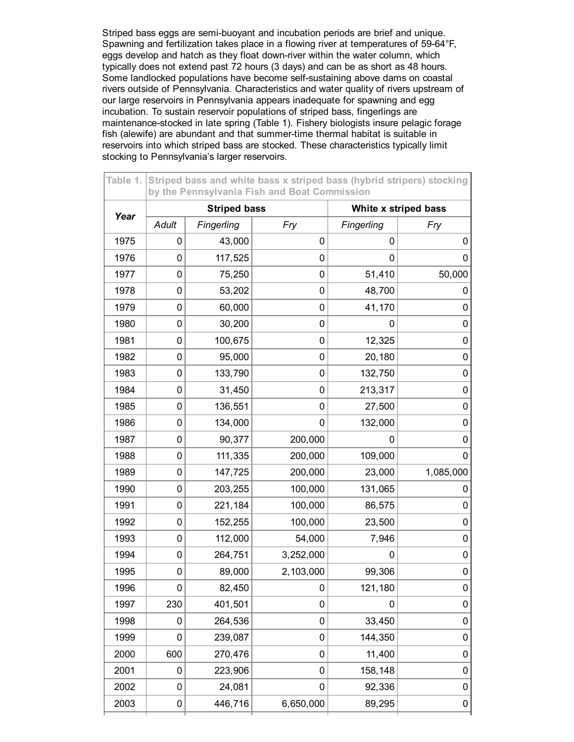Striped bass eggs are semi-buoyant and incubation periods are brief and unique. Spawning and fertilization takes place in a flowing river at temperatures of 59-64°F, eggs develop and hatch as they float down-river within the water column, which typically does not extend past 72 hours (3 days) and can be as short as 48 hours. Some landlocked populations have become self-sustaining above dams on coastal rivers outside of Pennsylvania. Characteristics and water quality of rivers upstream of our large reservoirs in Pennsylvania appears inadequate for spawning and egg incubation. To sustain reservoir populations of striped bass, fingerlings are maintenance-stocked in late spring (Table 1). Fishery biologists insure pelagic forage fish (alewife) are abundant and that summer-time thermal habitat is suitable in reservoirs into which striped bass are stocked. These characteristics typically limit stocking to Pennsylvania's larger reservoirs.

| Table 1. | Striped bass and white bass x striped bass (hybrid stripers) stocking<br>by the Pennsylvania Fish and Boat Commission |                     |             |                      |             |  |  |
|----------|-----------------------------------------------------------------------------------------------------------------------|---------------------|-------------|----------------------|-------------|--|--|
| Year     |                                                                                                                       | <b>Striped bass</b> |             | White x striped bass |             |  |  |
|          | <b>Adult</b>                                                                                                          | Fingerling          | Fry         | Fingerling           | Fry         |  |  |
| 1975     | 0                                                                                                                     | 43,000              | $\mathbf 0$ | 0                    | 0           |  |  |
| 1976     | 0                                                                                                                     | 117,525             | 0           | 0                    | 0           |  |  |
| 1977     | 0                                                                                                                     | 75,250              | 0           | 51,410               | 50,000      |  |  |
| 1978     | 0                                                                                                                     | 53,202              | 0           | 48,700               | 0           |  |  |
| 1979     | 0                                                                                                                     | 60,000              | $\mathbf 0$ | 41,170               | 0           |  |  |
| 1980     | 0                                                                                                                     | 30,200              | 0           | 0                    | 0           |  |  |
| 1981     | 0                                                                                                                     | 100,675             | 0           | 12,325               | 0           |  |  |
| 1982     | 0                                                                                                                     | 95,000              | 0           | 20,180               | 0           |  |  |
| 1983     | 0                                                                                                                     | 133,790             | 0           | 132,750              | 0           |  |  |
| 1984     | 0                                                                                                                     | 31,450              | 0           | 213,317              | 0           |  |  |
| 1985     | 0                                                                                                                     | 136,551             | 0           | 27,500               | 0           |  |  |
| 1986     | 0                                                                                                                     | 134,000             | 0           | 132,000              | 0           |  |  |
| 1987     | 0                                                                                                                     | 90,377              | 200,000     | O                    | 0           |  |  |
| 1988     | 0                                                                                                                     | 111,335             | 200,000     | 109,000              | 0           |  |  |
| 1989     | 0                                                                                                                     | 147,725             | 200,000     | 23,000               | 1,085,000   |  |  |
| 1990     | 0                                                                                                                     | 203,255             | 100,000     | 131,065              | 0           |  |  |
| 1991     | 0                                                                                                                     | 221,184             | 100,000     | 86,575               | 0           |  |  |
| 1992     | 0                                                                                                                     | 152,255             | 100,000     | 23,500               | 0           |  |  |
| 1993     | 0                                                                                                                     | 112,000             | 54,000      | 7,946                | 0           |  |  |
| 1994     | 0                                                                                                                     | 264,751             | 3,252,000   | 0                    | 0           |  |  |
| 1995     | 0                                                                                                                     | 89,000              | 2,103,000   | 99,306               | 0           |  |  |
| 1996     | 0                                                                                                                     | 82,450              | 0           | 121,180              | $\mathbf 0$ |  |  |
| 1997     | 230                                                                                                                   | 401,501             | 0           | 0                    | 0           |  |  |
| 1998     | 0                                                                                                                     | 264,536             | $\mathbf 0$ | 33,450               | 0           |  |  |
| 1999     | 0                                                                                                                     | 239,087             | 0           | 144,350              | 0           |  |  |
| 2000     | 600                                                                                                                   | 270,476             | $\pmb{0}$   | 11,400               | 0           |  |  |
| 2001     | 0                                                                                                                     | 223,906             | 0           | 158,148              | 0           |  |  |
| 2002     | 0                                                                                                                     | 24,081              | 0           | 92,336               | 0           |  |  |
| 2003     | 0                                                                                                                     | 446,716             | 6,650,000   | 89,295               | 0           |  |  |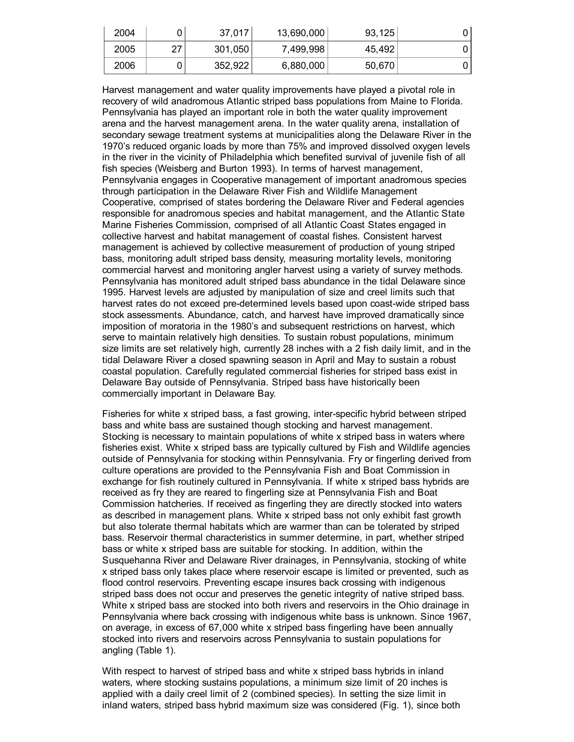| 2004 |           | 37,017  | 13,690,000 | 93,125 |  |
|------|-----------|---------|------------|--------|--|
| 2005 | າ7<br>ا ے | 301,050 | 7,499,998  | 45,492 |  |
| 2006 |           | 352,922 | 6,880,000  | 50,670 |  |

Harvest management and water quality improvements have played a pivotal role in recovery of wild anadromous Atlantic striped bass populations from Maine to Florida. Pennsylvania has played an important role in both the water quality improvement arena and the harvest management arena. In the water quality arena, installation of secondary sewage treatment systems at municipalities along the Delaware River in the 1970's reduced organic loads by more than 75% and improved dissolved oxygen levels in the river in the vicinity of Philadelphia which benefited survival of juvenile fish of all fish species (Weisberg and Burton 1993). In terms of harvest management, Pennsylvania engages in Cooperative management of important anadromous species through participation in the Delaware River Fish and Wildlife Management Cooperative, comprised of states bordering the Delaware River and Federal agencies responsible for anadromous species and habitat management, and the Atlantic State Marine Fisheries Commission, comprised of all Atlantic Coast States engaged in collective harvest and habitat management of coastal fishes. Consistent harvest management is achieved by collective measurement of production of young striped bass, monitoring adult striped bass density, measuring mortality levels, monitoring commercial harvest and monitoring angler harvest using a variety of survey methods. Pennsylvania has monitored adult striped bass abundance in the tidal Delaware since 1995. Harvest levels are adjusted by manipulation of size and creel limits such that harvest rates do not exceed pre-determined levels based upon coast-wide striped bass stock assessments. Abundance, catch, and harvest have improved dramatically since imposition of moratoria in the 1980's and subsequent restrictions on harvest, which serve to maintain relatively high densities. To sustain robust populations, minimum size limits are set relatively high, currently 28 inches with a 2 fish daily limit, and in the tidal Delaware River a closed spawning season in April and May to sustain a robust coastal population. Carefully regulated commercial fisheries for striped bass exist in Delaware Bay outside of Pennsylvania. Striped bass have historically been commercially important in Delaware Bay.

Fisheries for white x striped bass, a fast growing, interspecific hybrid between striped bass and white bass are sustained though stocking and harvest management. Stocking is necessary to maintain populations of white x striped bass in waters where fisheries exist. White x striped bass are typically cultured by Fish and Wildlife agencies outside of Pennsylvania for stocking within Pennsylvania. Fry or fingerling derived from culture operations are provided to the Pennsylvania Fish and Boat Commission in exchange for fish routinely cultured in Pennsylvania. If white x striped bass hybrids are received as fry they are reared to fingerling size at Pennsylvania Fish and Boat Commission hatcheries. If received as fingerling they are directly stocked into waters as described in management plans. White x striped bass not only exhibit fast growth but also tolerate thermal habitats which are warmer than can be tolerated by striped bass. Reservoir thermal characteristics in summer determine, in part, whether striped bass or white x striped bass are suitable for stocking. In addition, within the Susquehanna River and Delaware River drainages, in Pennsylvania, stocking of white x striped bass only takes place where reservoir escape is limited or prevented, such as flood control reservoirs. Preventing escape insures back crossing with indigenous striped bass does not occur and preserves the genetic integrity of native striped bass. White x striped bass are stocked into both rivers and reservoirs in the Ohio drainage in Pennsylvania where back crossing with indigenous white bass is unknown. Since 1967, on average, in excess of 67,000 white x striped bass fingerling have been annually stocked into rivers and reservoirs across Pennsylvania to sustain populations for angling (Table 1).

With respect to harvest of striped bass and white x striped bass hybrids in inland waters, where stocking sustains populations, a minimum size limit of 20 inches is applied with a daily creel limit of 2 (combined species). In setting the size limit in inland waters, striped bass hybrid maximum size was considered (Fig. 1), since both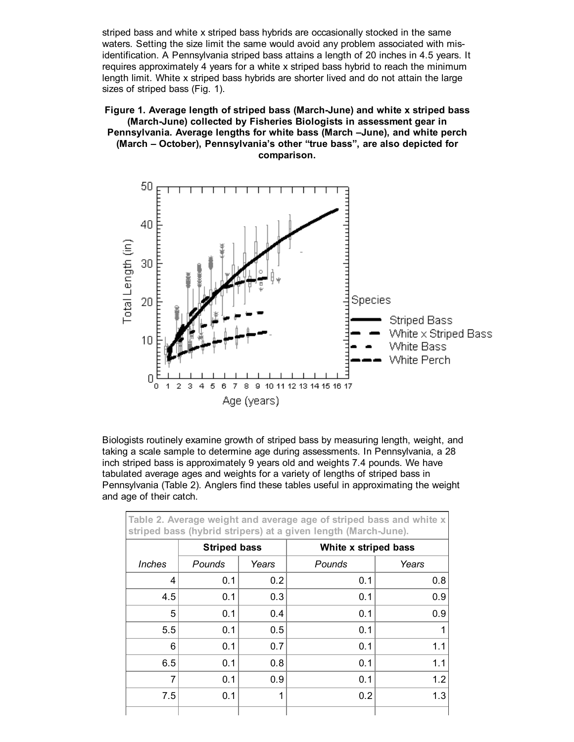striped bass and white x striped bass hybrids are occasionally stocked in the same waters. Setting the size limit the same would avoid any problem associated with misidentification. A Pennsylvania striped bass attains a length of 20 inches in 4.5 years. It requires approximately 4 years for a white x striped bass hybrid to reach the minimum length limit. White x striped bass hybrids are shorter lived and do not attain the large sizes of striped bass (Fig. 1).

## Figure 1. Average length of striped bass (March-June) and white x striped bass (March-June) collected by Fisheries Biologists in assessment gear in Pennsylvania. Average lengths for white bass (March –June), and white perch (March – October), Pennsylvania's other "true bass", are also depicted for comparison.



Biologists routinely examine growth of striped bass by measuring length, weight, and taking a scale sample to determine age during assessments. In Pennsylvania, a 28 inch striped bass is approximately 9 years old and weights 7.4 pounds. We have tabulated average ages and weights for a variety of lengths of striped bass in Pennsylvania (Table 2). Anglers find these tables useful in approximating the weight and age of their catch.

| Table 2. Average weight and average age of striped bass and white x<br>striped bass (hybrid stripers) at a given length (March-June). |                     |       |                      |       |  |
|---------------------------------------------------------------------------------------------------------------------------------------|---------------------|-------|----------------------|-------|--|
|                                                                                                                                       | <b>Striped bass</b> |       | White x striped bass |       |  |
| <i><b>Inches</b></i>                                                                                                                  | Pounds              | Years | Pounds               | Years |  |
| 4                                                                                                                                     | 0.1                 | 0.2   | 0.1                  | 0.8   |  |
| 4.5                                                                                                                                   | 0.1                 | 0.3   | 0.1                  | 0.9   |  |
| 5                                                                                                                                     | 0.1                 | 0.4   | 0.1                  | 0.9   |  |
| 5.5                                                                                                                                   | 0.1                 | 0.5   | 0.1                  |       |  |
| 6                                                                                                                                     | 0.1                 | 0.7   | 0.1                  | 1.1   |  |
| 6.5                                                                                                                                   | 0.1                 | 0.8   | 0.1                  | 1.1   |  |
| 7                                                                                                                                     | 0.1                 | 0.9   | 0.1                  | 1.2   |  |
| 7.5                                                                                                                                   | 0.1                 | 1     | 0.2                  | 1.3   |  |
|                                                                                                                                       |                     |       |                      |       |  |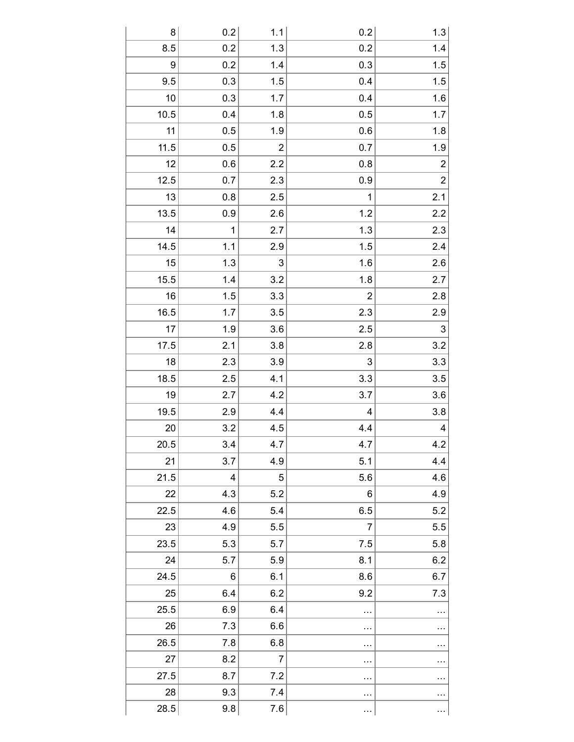| 8    | 0.2 | 1.1                     | 0.2         | 1.3                  |
|------|-----|-------------------------|-------------|----------------------|
| 8.5  | 0.2 | 1.3                     | 0.2         | 1.4                  |
| 9    | 0.2 | 1.4                     | 0.3         | 1.5                  |
| 9.5  | 0.3 | 1.5                     | 0.4         | 1.5                  |
| 10   | 0.3 | 1.7                     | 0.4         | 1.6                  |
| 10.5 | 0.4 | 1.8                     | 0.5         | 1.7                  |
| 11   | 0.5 | 1.9                     | 0.6         | $1.8\,$              |
| 11.5 | 0.5 | $\overline{\mathbf{c}}$ | 0.7         | 1.9                  |
| 12   | 0.6 | 2.2                     | 0.8         | $\overline{c}$       |
| 12.5 | 0.7 | 2.3                     | 0.9         | $\overline{2}$       |
| 13   | 0.8 | 2.5                     | $\mathbf 1$ | 2.1                  |
| 13.5 | 0.9 | 2.6                     | 1.2         | 2.2                  |
| 14   | 1   | 2.7                     | 1.3         | 2.3                  |
| 14.5 | 1.1 | 2.9                     | 1.5         | 2.4                  |
| 15   | 1.3 | 3                       | 1.6         | 2.6                  |
| 15.5 | 1.4 | 3.2                     | 1.8         | 2.7                  |
| 16   | 1.5 | 3.3                     | 2           | 2.8                  |
| 16.5 | 1.7 | 3.5                     | 2.3         | 2.9                  |
| 17   | 1.9 | 3.6                     | 2.5         | 3                    |
| 17.5 | 2.1 | 3.8                     | 2.8         | 3.2                  |
| 18   | 2.3 | 3.9                     | 3           | 3.3                  |
| 18.5 | 2.5 | 4.1                     | 3.3         | 3.5                  |
| 19   | 2.7 | 4.2                     | 3.7         | 3.6                  |
| 19.5 | 2.9 | 4.4                     | 4           | $3.8\,$              |
| 20   | 3.2 | 4.5                     | 4.4         | 4                    |
| 20.5 | 3.4 | 4.7                     | 4.7         | $\overline{4.2}$     |
| 21   | 3.7 | 4.9                     | 5.1         | 4.4                  |
| 21.5 | 4   | 5                       | 5.6         | 4.6                  |
| 22   | 4.3 | 5.2                     | 6           | 4.9                  |
| 22.5 | 4.6 | 5.4                     | 6.5         | 5.2                  |
| 23   | 4.9 | 5.5                     | 7           | 5.5                  |
| 23.5 | 5.3 | 5.7                     | 7.5         | 5.8                  |
| 24   | 5.7 | 5.9                     | 8.1         | 6.2                  |
| 24.5 | 6   | 6.1                     | 8.6         | 6.7                  |
| 25   | 6.4 | 6.2                     | 9.2         | 7.3                  |
| 25.5 | 6.9 | 6.4                     | $\cdots$    |                      |
| 26   | 7.3 | 6.6                     | $\cdots$    | $\cdots$             |
| 26.5 | 7.8 | 6.8                     | $\cdots$    |                      |
| 27   | 8.2 | $\overline{7}$          |             |                      |
| 27.5 | 8.7 | 7.2                     |             | $\ddotsc$            |
| 28   | 9.3 | 7.4                     |             | $\ddot{\phantom{0}}$ |
| 28.5 | 9.8 | 7.6                     | $\cdots$    | $\cdots$             |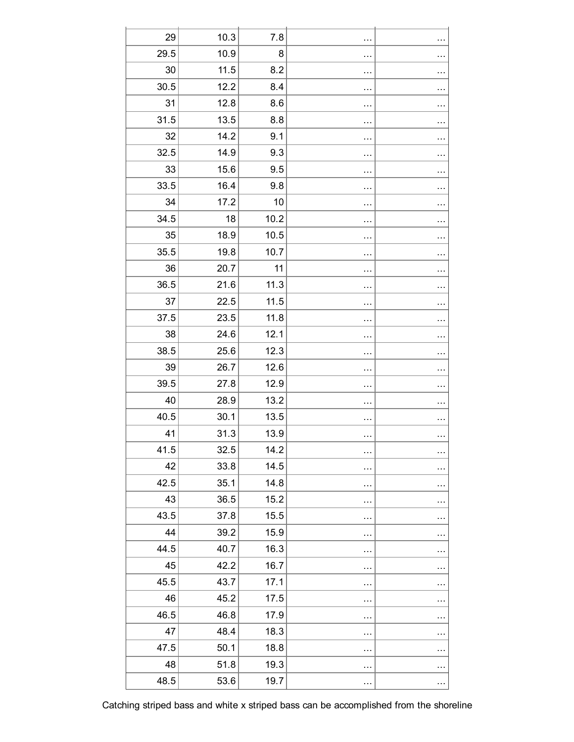| 29   | 10.3 | 7.8  | $\cdots$  |          |
|------|------|------|-----------|----------|
| 29.5 | 10.9 | 8    | $\cdots$  |          |
| 30   | 11.5 | 8.2  | $\cdots$  | $\cdots$ |
| 30.5 | 12.2 | 8.4  |           |          |
| 31   | 12.8 | 8.6  |           |          |
| 31.5 | 13.5 | 8.8  | $\ddotsc$ |          |
| 32   | 14.2 | 9.1  |           |          |
| 32.5 | 14.9 | 9.3  |           |          |
| 33   | 15.6 | 9.5  |           |          |
| 33.5 | 16.4 | 9.8  |           |          |
| 34   | 17.2 | 10   | .         | $\cdots$ |
| 34.5 | 18   | 10.2 |           | $\cdots$ |
| 35   | 18.9 | 10.5 |           |          |
| 35.5 | 19.8 | 10.7 | $\cdots$  |          |
| 36   | 20.7 | 11   |           |          |
| 36.5 | 21.6 | 11.3 |           |          |
| 37   | 22.5 | 11.5 | $\cdots$  |          |
| 37.5 | 23.5 | 11.8 | $\cdots$  |          |
| 38   | 24.6 | 12.1 | $\ddotsc$ |          |
| 38.5 | 25.6 | 12.3 | $\ddotsc$ |          |
| 39   | 26.7 | 12.6 | $\ddotsc$ |          |
| 39.5 | 27.8 | 12.9 | $\cdots$  |          |
| 40   | 28.9 | 13.2 |           |          |
| 40.5 | 30.1 | 13.5 |           |          |
| 41   | 31.3 | 13.9 |           |          |
| 41.5 | 32.5 | 14.2 |           | $\cdots$ |
| 42   | 33.8 | 14.5 |           | $\cdots$ |
| 42.5 | 35.1 | 14.8 | $\cdots$  |          |
| 43   | 36.5 | 15.2 | $\cdots$  | $\cdots$ |
| 43.5 | 37.8 | 15.5 | $\cdots$  |          |
| 44   | 39.2 | 15.9 | $\cdots$  | $\cdots$ |
| 44.5 | 40.7 | 16.3 | $\cdots$  |          |
| 45   | 42.2 | 16.7 | $\cdots$  |          |
| 45.5 | 43.7 | 17.1 | $\cdots$  | $\cdots$ |
| 46   | 45.2 | 17.5 | $\cdots$  | $\cdots$ |
| 46.5 | 46.8 | 17.9 | $\cdots$  | $\cdots$ |
| 47   | 48.4 | 18.3 | $\cdots$  |          |
| 47.5 | 50.1 | 18.8 | $\cdots$  |          |
| 48   | 51.8 | 19.3 | $\cdots$  | $\cdots$ |
| 48.5 | 53.6 | 19.7 | $\cdots$  |          |

Catching striped bass and white x striped bass can be accomplished from the shoreline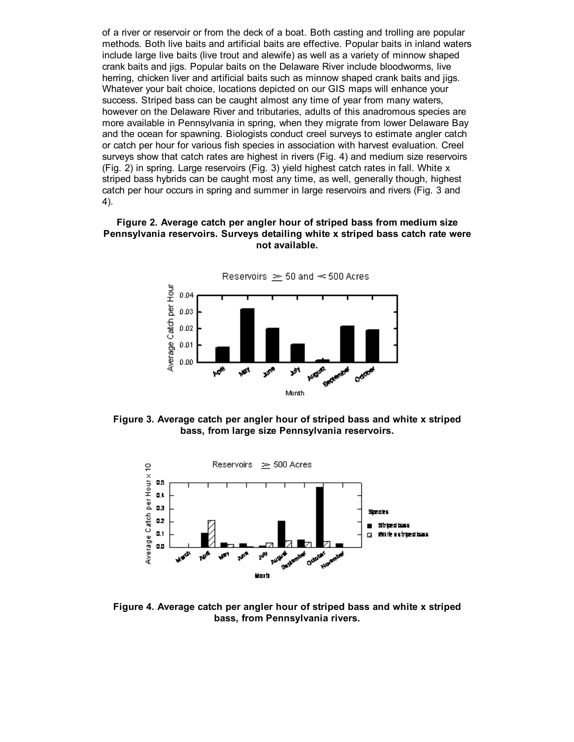of a river or reservoir or from the deck of a boat. Both casting and trolling are popular methods. Both live baits and artificial baits are effective. Popular baits in inland waters include large live baits (live trout and alewife) as well as a variety of minnow shaped crank baits and jigs. Popular baits on the Delaware River include bloodworms, live herring, chicken liver and artificial baits such as minnow shaped crank baits and jigs. Whatever your bait choice, locations depicted on our GIS maps will enhance your success. Striped bass can be caught almost any time of year from many waters, however on the Delaware River and tributaries, adults of this anadromous species are more available in Pennsylvania in spring, when they migrate from lower Delaware Bay and the ocean for spawning. Biologists conduct creel surveys to estimate angler catch or catch per hour for various fish species in association with harvest evaluation. Creel surveys show that catch rates are highest in rivers (Fig. 4) and medium size reservoirs (Fig. 2) in spring. Large reservoirs (Fig. 3) yield highest catch rates in fall. White x striped bass hybrids can be caught most any time, as well, generally though, highest catch per hour occurs in spring and summer in large reservoirs and rivers (Fig. 3 and 4).

## Figure 2. Average catch per angler hour of striped bass from medium size Pennsylvania reservoirs. Surveys detailing white x striped bass catch rate were not available.



Figure 3. Average catch per angler hour of striped bass and white x striped bass, from large size Pennsylvania reservoirs.



Figure 4. Average catch per angler hour of striped bass and white x striped bass, from Pennsylvania rivers.